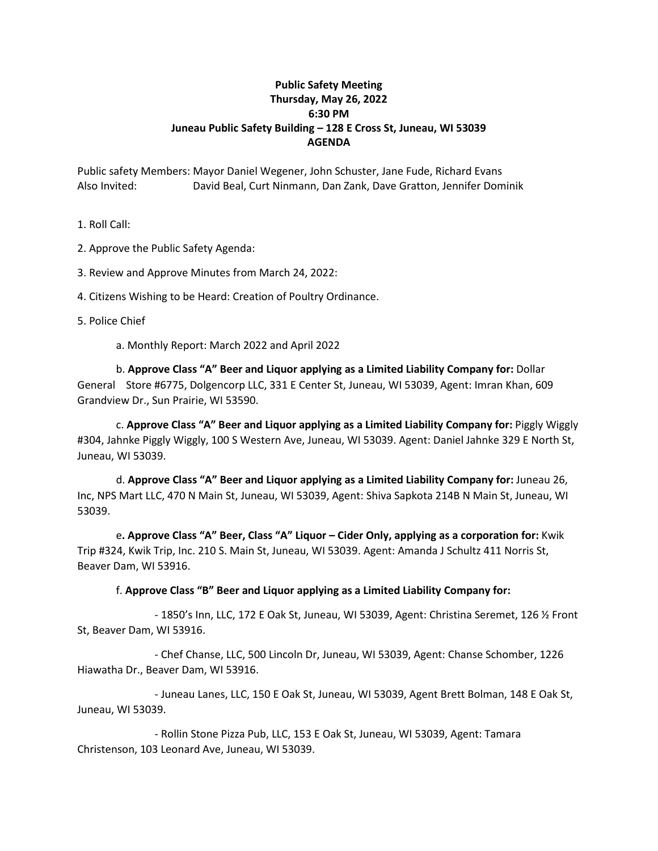## **Public Safety Meeting Thursday, May 26, 2022 6:30 PM Juneau Public Safety Building – 128 E Cross St, Juneau, WI 53039 AGENDA**

Public safety Members: Mayor Daniel Wegener, John Schuster, Jane Fude, Richard Evans Also Invited: David Beal, Curt Ninmann, Dan Zank, Dave Gratton, Jennifer Dominik

1. Roll Call:

2. Approve the Public Safety Agenda:

3. Review and Approve Minutes from March 24, 2022:

4. Citizens Wishing to be Heard: Creation of Poultry Ordinance.

5. Police Chief

a. Monthly Report: March 2022 and April 2022

b. **Approve Class "A" Beer and Liquor applying as a Limited Liability Company for:** Dollar General Store #6775, Dolgencorp LLC, 331 E Center St, Juneau, WI 53039, Agent: Imran Khan, 609 Grandview Dr., Sun Prairie, WI 53590.

c. **Approve Class "A" Beer and Liquor applying as a Limited Liability Company for:** Piggly Wiggly #304, Jahnke Piggly Wiggly, 100 S Western Ave, Juneau, WI 53039. Agent: Daniel Jahnke 329 E North St, Juneau, WI 53039.

d. **Approve Class "A" Beer and Liquor applying as a Limited Liability Company for:** Juneau 26, Inc, NPS Mart LLC, 470 N Main St, Juneau, WI 53039, Agent: Shiva Sapkota 214B N Main St, Juneau, WI 53039.

e**. Approve Class "A" Beer, Class "A" Liquor – Cider Only, applying as a corporation for:** Kwik Trip #324, Kwik Trip, Inc. 210 S. Main St, Juneau, WI 53039. Agent: Amanda J Schultz 411 Norris St, Beaver Dam, WI 53916.

## f. **Approve Class "B" Beer and Liquor applying as a Limited Liability Company for:**

- 1850's Inn, LLC, 172 E Oak St, Juneau, WI 53039, Agent: Christina Seremet, 126 ½ Front St, Beaver Dam, WI 53916.

- Chef Chanse, LLC, 500 Lincoln Dr, Juneau, WI 53039, Agent: Chanse Schomber, 1226 Hiawatha Dr., Beaver Dam, WI 53916.

- Juneau Lanes, LLC, 150 E Oak St, Juneau, WI 53039, Agent Brett Bolman, 148 E Oak St, Juneau, WI 53039.

- Rollin Stone Pizza Pub, LLC, 153 E Oak St, Juneau, WI 53039, Agent: Tamara Christenson, 103 Leonard Ave, Juneau, WI 53039.